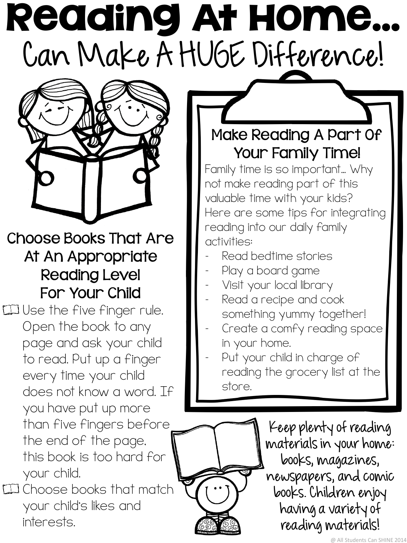## Reading At Home… Can Make A HUGE Difference!



Choose Books That Are At An Appropriate Reading Level For Your Child

 $\Box$  Use the five finger rule. Open the book to any page and ask your child to read. Put up a finger every time your child does not know a word. If you have put up more than five fingers before the end of the page, this book is too hard for your child.

 $\square$  Choose books that match your child's likes and interests.

#### Make Reading A Part Of Your Family Time!

Family time is so important… Why not make reading part of this valuable time with your kids? Here are some tips for integrating reading into our daily family activities:

- Read bedtime stories
- Play a board game
- Visit your local library
- Read a recipe and cook something yummy together!
- Create a comfy reading space in your home.
- Put your child in charge of reading the grocery list at the store.

Keep plenty of reading materials in your home: books, magazines, newspapers, and comic books. Children enjoy having a variety of reading materials!